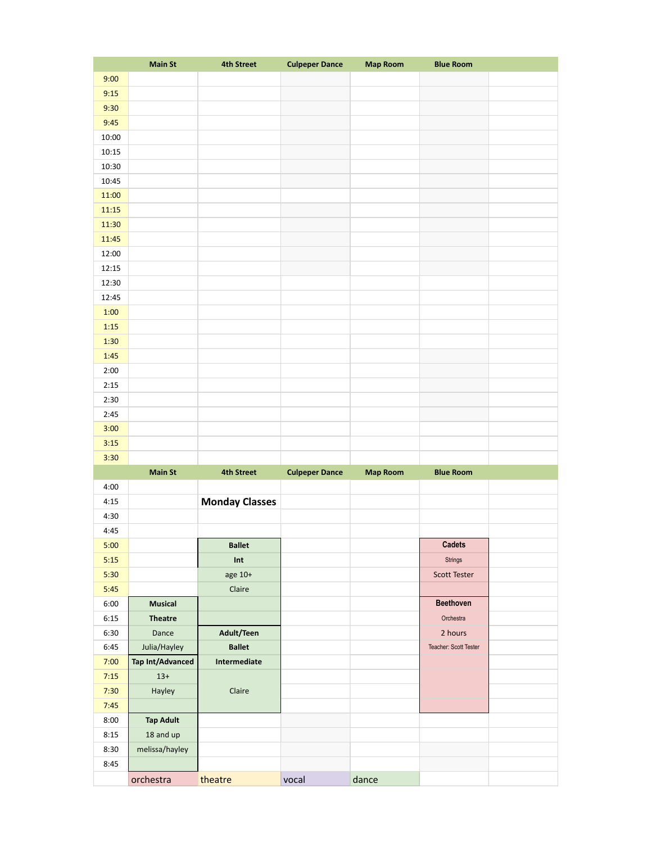|       | <b>Main St</b>          | <b>4th Street</b>     | <b>Culpeper Dance</b> | <b>Map Room</b> | <b>Blue Room</b>      |  |
|-------|-------------------------|-----------------------|-----------------------|-----------------|-----------------------|--|
| 9:00  |                         |                       |                       |                 |                       |  |
| 9:15  |                         |                       |                       |                 |                       |  |
| 9:30  |                         |                       |                       |                 |                       |  |
| 9:45  |                         |                       |                       |                 |                       |  |
| 10:00 |                         |                       |                       |                 |                       |  |
|       |                         |                       |                       |                 |                       |  |
| 10:15 |                         |                       |                       |                 |                       |  |
| 10:30 |                         |                       |                       |                 |                       |  |
| 10:45 |                         |                       |                       |                 |                       |  |
| 11:00 |                         |                       |                       |                 |                       |  |
| 11:15 |                         |                       |                       |                 |                       |  |
| 11:30 |                         |                       |                       |                 |                       |  |
| 11:45 |                         |                       |                       |                 |                       |  |
| 12:00 |                         |                       |                       |                 |                       |  |
| 12:15 |                         |                       |                       |                 |                       |  |
| 12:30 |                         |                       |                       |                 |                       |  |
| 12:45 |                         |                       |                       |                 |                       |  |
| 1:00  |                         |                       |                       |                 |                       |  |
| 1:15  |                         |                       |                       |                 |                       |  |
| 1:30  |                         |                       |                       |                 |                       |  |
| 1:45  |                         |                       |                       |                 |                       |  |
| 2:00  |                         |                       |                       |                 |                       |  |
|       |                         |                       |                       |                 |                       |  |
| 2:15  |                         |                       |                       |                 |                       |  |
| 2:30  |                         |                       |                       |                 |                       |  |
| 2:45  |                         |                       |                       |                 |                       |  |
| 3:00  |                         |                       |                       |                 |                       |  |
| 3:15  |                         |                       |                       |                 |                       |  |
| 3:30  |                         |                       |                       |                 |                       |  |
|       | <b>Main St</b>          | <b>4th Street</b>     | <b>Culpeper Dance</b> | <b>Map Room</b> | <b>Blue Room</b>      |  |
| 4:00  |                         |                       |                       |                 |                       |  |
| 4:15  |                         | <b>Monday Classes</b> |                       |                 |                       |  |
| 4:30  |                         |                       |                       |                 |                       |  |
| 4:45  |                         |                       |                       |                 |                       |  |
| 5:00  |                         | <b>Ballet</b>         |                       |                 | <b>Cadets</b>         |  |
| 5:15  |                         | Int                   |                       |                 | Strings               |  |
| 5:30  |                         | age 10+               |                       |                 | <b>Scott Tester</b>   |  |
| 5:45  |                         | Claire                |                       |                 |                       |  |
| 6:00  | <b>Musical</b>          |                       |                       |                 | <b>Beethoven</b>      |  |
|       |                         |                       |                       |                 | Orchestra             |  |
| 6:15  | <b>Theatre</b>          |                       |                       |                 |                       |  |
| 6:30  | Dance                   | Adult/Teen            |                       |                 | 2 hours               |  |
| 6:45  | Julia/Hayley            | <b>Ballet</b>         |                       |                 | Teacher: Scott Tester |  |
| 7:00  | <b>Tap Int/Advanced</b> | Intermediate          |                       |                 |                       |  |
| 7:15  | $13+$                   |                       |                       |                 |                       |  |
| 7:30  | Hayley                  | Claire                |                       |                 |                       |  |
| 7:45  |                         |                       |                       |                 |                       |  |
| 8:00  | <b>Tap Adult</b>        |                       |                       |                 |                       |  |
| 8:15  | 18 and up               |                       |                       |                 |                       |  |
| 8:30  | melissa/hayley          |                       |                       |                 |                       |  |
| 8:45  |                         |                       |                       |                 |                       |  |
|       | orchestra               | theatre               | vocal                 | dance           |                       |  |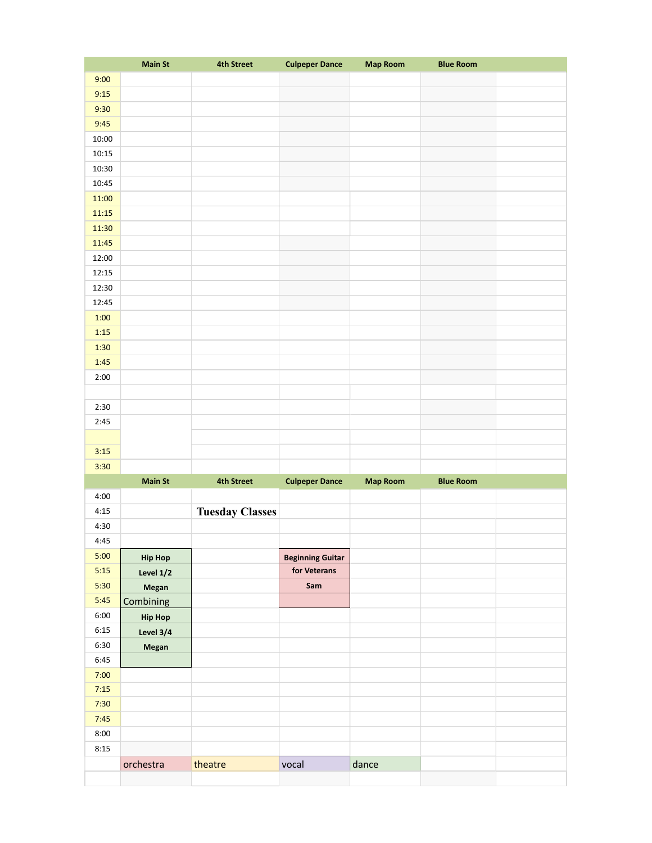|       | <b>Main St</b> | <b>4th Street</b>      | <b>Culpeper Dance</b>   | <b>Map Room</b> | <b>Blue Room</b> |  |
|-------|----------------|------------------------|-------------------------|-----------------|------------------|--|
| 9:00  |                |                        |                         |                 |                  |  |
| 9:15  |                |                        |                         |                 |                  |  |
| 9:30  |                |                        |                         |                 |                  |  |
| 9:45  |                |                        |                         |                 |                  |  |
| 10:00 |                |                        |                         |                 |                  |  |
| 10:15 |                |                        |                         |                 |                  |  |
|       |                |                        |                         |                 |                  |  |
| 10:30 |                |                        |                         |                 |                  |  |
| 10:45 |                |                        |                         |                 |                  |  |
| 11:00 |                |                        |                         |                 |                  |  |
| 11:15 |                |                        |                         |                 |                  |  |
| 11:30 |                |                        |                         |                 |                  |  |
| 11:45 |                |                        |                         |                 |                  |  |
| 12:00 |                |                        |                         |                 |                  |  |
| 12:15 |                |                        |                         |                 |                  |  |
| 12:30 |                |                        |                         |                 |                  |  |
| 12:45 |                |                        |                         |                 |                  |  |
| 1:00  |                |                        |                         |                 |                  |  |
| 1:15  |                |                        |                         |                 |                  |  |
| 1:30  |                |                        |                         |                 |                  |  |
| 1:45  |                |                        |                         |                 |                  |  |
| 2:00  |                |                        |                         |                 |                  |  |
|       |                |                        |                         |                 |                  |  |
| 2:30  |                |                        |                         |                 |                  |  |
| 2:45  |                |                        |                         |                 |                  |  |
|       |                |                        |                         |                 |                  |  |
|       |                |                        |                         |                 |                  |  |
| 3:15  |                |                        |                         |                 |                  |  |
| 3:30  |                |                        |                         |                 |                  |  |
|       | <b>Main St</b> | <b>4th Street</b>      | <b>Culpeper Dance</b>   | <b>Map Room</b> | <b>Blue Room</b> |  |
| 4:00  |                |                        |                         |                 |                  |  |
| 4:15  |                | <b>Tuesday Classes</b> |                         |                 |                  |  |
| 4:30  |                |                        |                         |                 |                  |  |
| 4:45  |                |                        |                         |                 |                  |  |
| 5:00  | <b>Hip Hop</b> |                        | <b>Beginning Guitar</b> |                 |                  |  |
| 5:15  | Level 1/2      |                        | for Veterans            |                 |                  |  |
| 5:30  | Megan          |                        | Sam                     |                 |                  |  |
| 5:45  | Combining      |                        |                         |                 |                  |  |
| 6:00  | <b>Hip Hop</b> |                        |                         |                 |                  |  |
| 6:15  | Level 3/4      |                        |                         |                 |                  |  |
| 6:30  | Megan          |                        |                         |                 |                  |  |
| 6:45  |                |                        |                         |                 |                  |  |
| 7:00  |                |                        |                         |                 |                  |  |
| 7:15  |                |                        |                         |                 |                  |  |
| 7:30  |                |                        |                         |                 |                  |  |
| 7:45  |                |                        |                         |                 |                  |  |
|       |                |                        |                         |                 |                  |  |
| 8:00  |                |                        |                         |                 |                  |  |
| 8:15  |                |                        |                         |                 |                  |  |
|       | orchestra      | theatre                | vocal                   | dance           |                  |  |
|       |                |                        |                         |                 |                  |  |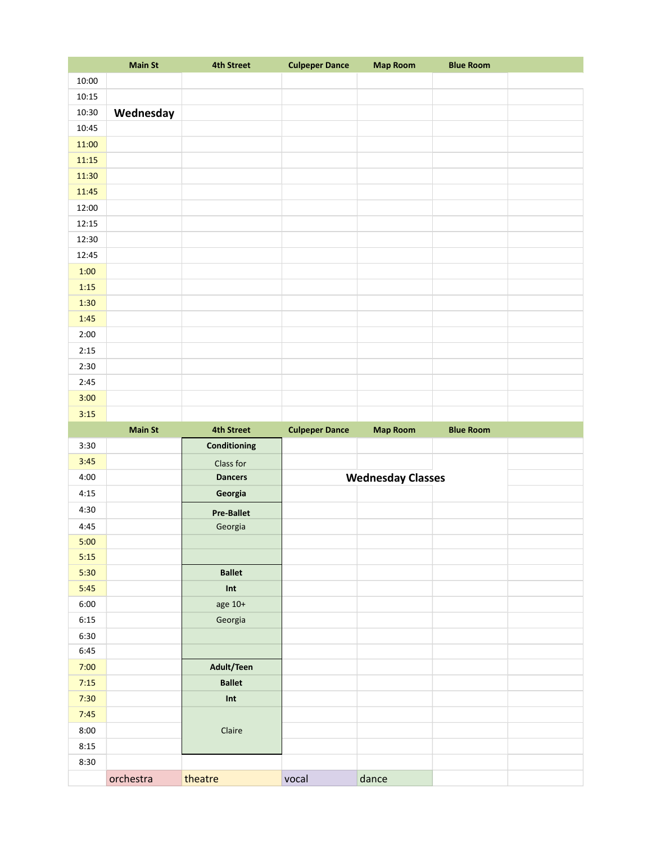|       | <b>Main St</b> | <b>4th Street</b>           | <b>Culpeper Dance</b> | <b>Map Room</b>          | <b>Blue Room</b> |  |
|-------|----------------|-----------------------------|-----------------------|--------------------------|------------------|--|
| 10:00 |                |                             |                       |                          |                  |  |
| 10:15 |                |                             |                       |                          |                  |  |
| 10:30 | Wednesday      |                             |                       |                          |                  |  |
| 10:45 |                |                             |                       |                          |                  |  |
| 11:00 |                |                             |                       |                          |                  |  |
| 11:15 |                |                             |                       |                          |                  |  |
| 11:30 |                |                             |                       |                          |                  |  |
| 11:45 |                |                             |                       |                          |                  |  |
| 12:00 |                |                             |                       |                          |                  |  |
| 12:15 |                |                             |                       |                          |                  |  |
| 12:30 |                |                             |                       |                          |                  |  |
| 12:45 |                |                             |                       |                          |                  |  |
| 1:00  |                |                             |                       |                          |                  |  |
| 1:15  |                |                             |                       |                          |                  |  |
| 1:30  |                |                             |                       |                          |                  |  |
| 1:45  |                |                             |                       |                          |                  |  |
| 2:00  |                |                             |                       |                          |                  |  |
| 2:15  |                |                             |                       |                          |                  |  |
| 2:30  |                |                             |                       |                          |                  |  |
| 2:45  |                |                             |                       |                          |                  |  |
| 3:00  |                |                             |                       |                          |                  |  |
| 3:15  |                |                             |                       |                          |                  |  |
|       |                |                             |                       |                          |                  |  |
|       |                |                             |                       |                          |                  |  |
|       | <b>Main St</b> | <b>4th Street</b>           | <b>Culpeper Dance</b> | <b>Map Room</b>          | <b>Blue Room</b> |  |
| 3:30  |                | Conditioning                |                       |                          |                  |  |
| 3:45  |                | Class for                   |                       |                          |                  |  |
| 4:00  |                | <b>Dancers</b>              |                       | <b>Wednesday Classes</b> |                  |  |
| 4:15  |                | Georgia                     |                       |                          |                  |  |
| 4:30  |                | <b>Pre-Ballet</b>           |                       |                          |                  |  |
| 4:45  |                | Georgia                     |                       |                          |                  |  |
| 5:00  |                |                             |                       |                          |                  |  |
| 5:15  |                |                             |                       |                          |                  |  |
| 5:30  |                | <b>Ballet</b>               |                       |                          |                  |  |
| 5:45  |                | Int                         |                       |                          |                  |  |
| 6:00  |                | age 10+                     |                       |                          |                  |  |
| 6:15  |                | Georgia                     |                       |                          |                  |  |
| 6:30  |                |                             |                       |                          |                  |  |
| 6:45  |                |                             |                       |                          |                  |  |
| 7:00  |                | Adult/Teen                  |                       |                          |                  |  |
| 7:15  |                | <b>Ballet</b>               |                       |                          |                  |  |
| 7:30  |                | $\ensuremath{\mathsf{Int}}$ |                       |                          |                  |  |
| 7:45  |                |                             |                       |                          |                  |  |
| 8:00  |                | Claire                      |                       |                          |                  |  |
| 8:15  |                |                             |                       |                          |                  |  |
| 8:30  |                |                             |                       |                          |                  |  |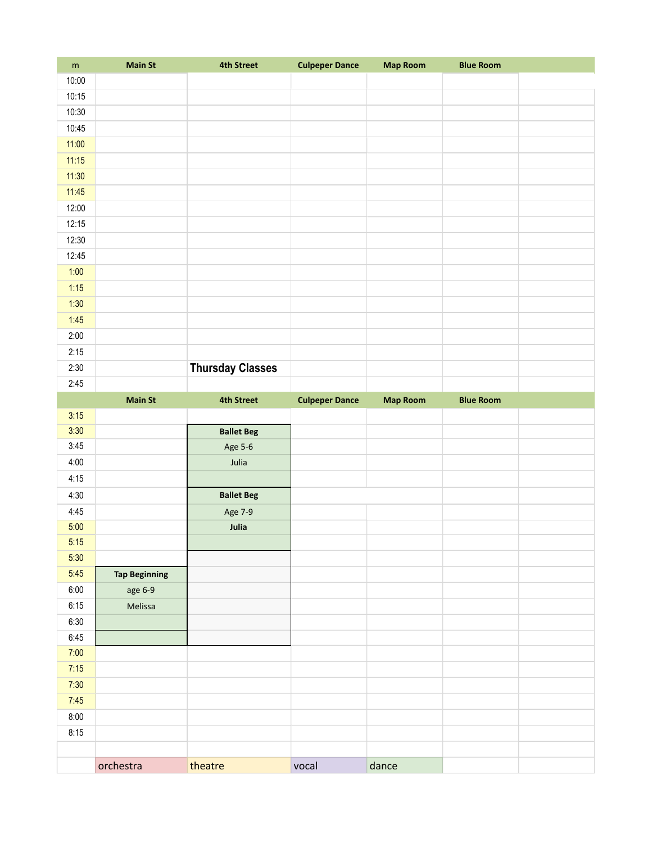| ${\sf m}$ | <b>Main St</b>       | <b>4th Street</b>       | <b>Culpeper Dance</b> | <b>Map Room</b> | <b>Blue Room</b> |  |
|-----------|----------------------|-------------------------|-----------------------|-----------------|------------------|--|
| 10:00     |                      |                         |                       |                 |                  |  |
| 10:15     |                      |                         |                       |                 |                  |  |
| 10:30     |                      |                         |                       |                 |                  |  |
| 10:45     |                      |                         |                       |                 |                  |  |
| 11:00     |                      |                         |                       |                 |                  |  |
| 11:15     |                      |                         |                       |                 |                  |  |
| 11:30     |                      |                         |                       |                 |                  |  |
| 11:45     |                      |                         |                       |                 |                  |  |
| 12:00     |                      |                         |                       |                 |                  |  |
| 12:15     |                      |                         |                       |                 |                  |  |
| 12:30     |                      |                         |                       |                 |                  |  |
| 12:45     |                      |                         |                       |                 |                  |  |
| 1:00      |                      |                         |                       |                 |                  |  |
| 1:15      |                      |                         |                       |                 |                  |  |
| 1:30      |                      |                         |                       |                 |                  |  |
| 1:45      |                      |                         |                       |                 |                  |  |
| 2:00      |                      |                         |                       |                 |                  |  |
| 2:15      |                      |                         |                       |                 |                  |  |
| 2:30      |                      | <b>Thursday Classes</b> |                       |                 |                  |  |
| 2:45      |                      |                         |                       |                 |                  |  |
|           | <b>Main St</b>       | <b>4th Street</b>       | <b>Culpeper Dance</b> | <b>Map Room</b> | <b>Blue Room</b> |  |
| 3:15      |                      |                         |                       |                 |                  |  |
| 3:30      |                      | <b>Ballet Beg</b>       |                       |                 |                  |  |
| 3:45      |                      | Age 5-6                 |                       |                 |                  |  |
| 4:00      |                      | Julia                   |                       |                 |                  |  |
| 4:15      |                      |                         |                       |                 |                  |  |
| 4:30      |                      | <b>Ballet Beg</b>       |                       |                 |                  |  |
| 4:45      |                      | Age 7-9                 |                       |                 |                  |  |
| 5:00      |                      | Julia                   |                       |                 |                  |  |
| 5:15      |                      |                         |                       |                 |                  |  |
| 5:30      |                      |                         |                       |                 |                  |  |
| 5:45      | <b>Tap Beginning</b> |                         |                       |                 |                  |  |
| 6:00      | age 6-9              |                         |                       |                 |                  |  |
| 6:15      | Melissa              |                         |                       |                 |                  |  |
| 6:30      |                      |                         |                       |                 |                  |  |
| 6:45      |                      |                         |                       |                 |                  |  |
| 7:00      |                      |                         |                       |                 |                  |  |
| 7:15      |                      |                         |                       |                 |                  |  |
| 7:30      |                      |                         |                       |                 |                  |  |
| 7:45      |                      |                         |                       |                 |                  |  |
| 8:00      |                      |                         |                       |                 |                  |  |
| 8:15      |                      |                         |                       |                 |                  |  |
|           |                      |                         |                       |                 |                  |  |
|           | orchestra            | theatre                 | vocal                 | dance           |                  |  |